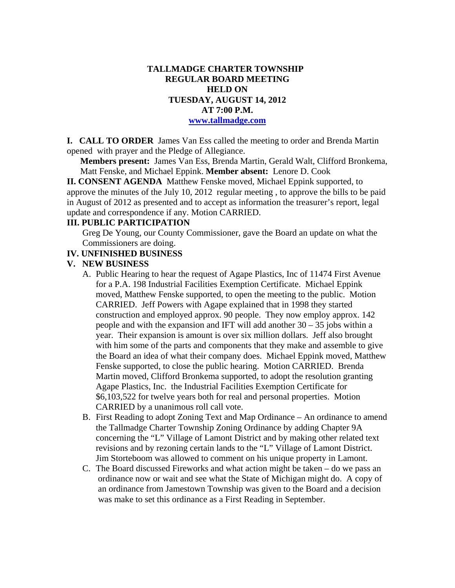## **TALLMADGE CHARTER TOWNSHIP REGULAR BOARD MEETING HELD ON TUESDAY, AUGUST 14, 2012 AT 7:00 P.M. www.tallmadge.com**

**I. CALL TO ORDER** James Van Ess called the meeting to order and Brenda Martin opened with prayer and the Pledge of Allegiance.

**Members present:** James Van Ess, Brenda Martin, Gerald Walt, Clifford Bronkema, Matt Fenske, and Michael Eppink. **Member absent:** Lenore D. Cook

**II. CONSENT AGENDA** Matthew Fenske moved, Michael Eppink supported, to approve the minutes of the July 10, 2012 regular meeting , to approve the bills to be paid in August of 2012 as presented and to accept as information the treasurer's report, legal update and correspondence if any. Motion CARRIED.

## **III. PUBLIC PARTICIPATION**

Greg De Young, our County Commissioner, gave the Board an update on what the Commissioners are doing.

#### **IV. UNFINISHED BUSINESS**

#### **V. NEW BUSINESS**

- A. Public Hearing to hear the request of Agape Plastics, Inc of 11474 First Avenue for a P.A. 198 Industrial Facilities Exemption Certificate. Michael Eppink moved, Matthew Fenske supported, to open the meeting to the public. Motion CARRIED. Jeff Powers with Agape explained that in 1998 they started construction and employed approx. 90 people. They now employ approx. 142 people and with the expansion and IFT will add another  $30 - 35$  jobs within a year. Their expansion is amount is over six million dollars. Jeff also brought with him some of the parts and components that they make and assemble to give the Board an idea of what their company does. Michael Eppink moved, Matthew Fenske supported, to close the public hearing. Motion CARRIED. Brenda Martin moved, Clifford Bronkema supported, to adopt the resolution granting Agape Plastics, Inc. the Industrial Facilities Exemption Certificate for \$6,103,522 for twelve years both for real and personal properties. Motion CARRIED by a unanimous roll call vote.
- B. First Reading to adopt Zoning Text and Map Ordinance An ordinance to amend the Tallmadge Charter Township Zoning Ordinance by adding Chapter 9A concerning the "L" Village of Lamont District and by making other related text revisions and by rezoning certain lands to the "L" Village of Lamont District. Jim Storteboom was allowed to comment on his unique property in Lamont.
- C. The Board discussed Fireworks and what action might be taken do we pass an ordinance now or wait and see what the State of Michigan might do. A copy of an ordinance from Jamestown Township was given to the Board and a decision was make to set this ordinance as a First Reading in September.